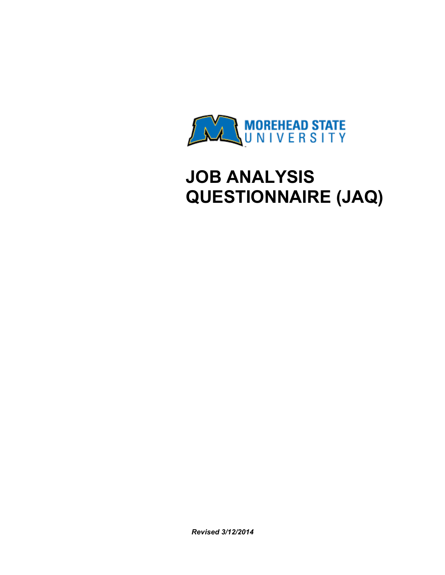

# **JOB ANALYSIS QUESTIONNAIRE (JAQ)**

*Revised 3/12/2014*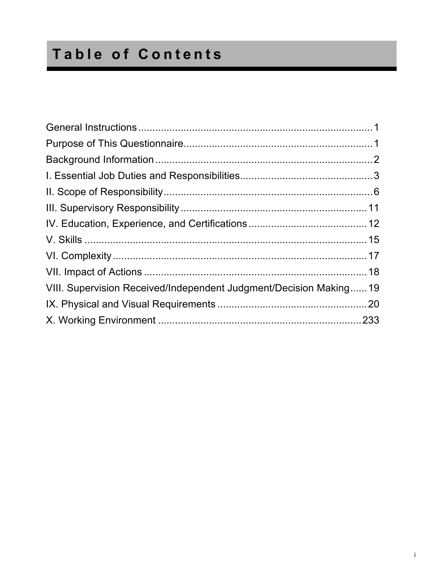# **Table of Contents**

| VIII. Supervision Received/Independent Judgment/Decision Making19 |  |
|-------------------------------------------------------------------|--|
|                                                                   |  |
|                                                                   |  |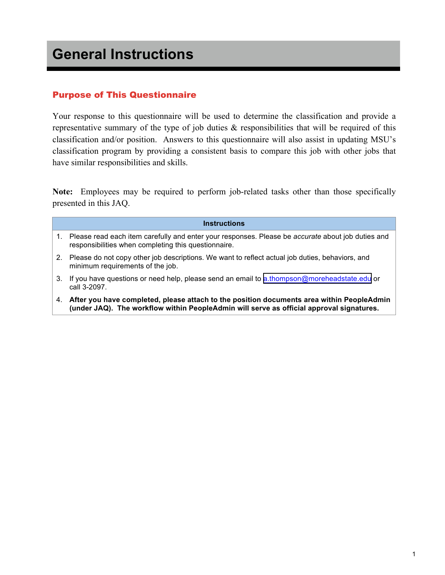### Purpose of This Questionnaire

Your response to this questionnaire will be used to determine the classification and provide a representative summary of the type of job duties & responsibilities that will be required of this classification and/or position. Answers to this questionnaire will also assist in updating MSU's classification program by providing a consistent basis to compare this job with other jobs that have similar responsibilities and skills.

**Note:** Employees may be required to perform job-related tasks other than those specifically presented in this JAQ.

|    | <b>Instructions</b>                                                                                                                                                                   |
|----|---------------------------------------------------------------------------------------------------------------------------------------------------------------------------------------|
|    | 1. Please read each item carefully and enter your responses. Please be accurate about job duties and<br>responsibilities when completing this questionnaire.                          |
|    | 2. Please do not copy other job descriptions. We want to reflect actual job duties, behaviors, and<br>minimum requirements of the job.                                                |
| 3. | If you have questions or need help, please send an email to a thompson@moreheadstate.edu or<br>call 3-2097.                                                                           |
| 4. | After you have completed, please attach to the position documents area within PeopleAdmin<br>(under JAQ). The workflow within PeopleAdmin will serve as official approval signatures. |
|    |                                                                                                                                                                                       |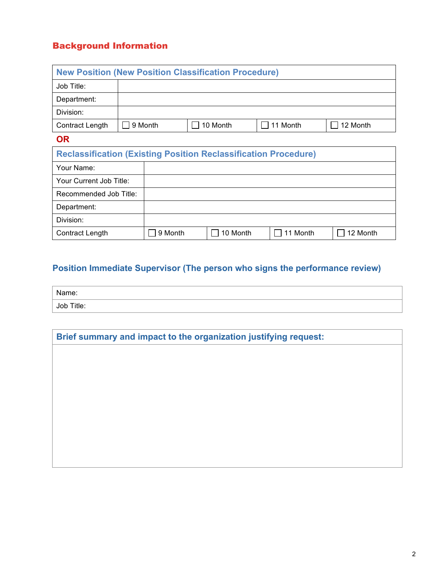# Background Information

| <b>New Position (New Position Classification Procedure)</b>            |         |         |          |          |          |          |          |  |
|------------------------------------------------------------------------|---------|---------|----------|----------|----------|----------|----------|--|
| Job Title:                                                             |         |         |          |          |          |          |          |  |
| Department:                                                            |         |         |          |          |          |          |          |  |
| Division:                                                              |         |         |          |          |          |          |          |  |
| Contract Length                                                        | 9 Month |         | 10 Month |          | 11 Month | 12 Month |          |  |
| <b>OR</b>                                                              |         |         |          |          |          |          |          |  |
| <b>Reclassification (Existing Position Reclassification Procedure)</b> |         |         |          |          |          |          |          |  |
| Your Name:                                                             |         |         |          |          |          |          |          |  |
| Your Current Job Title:                                                |         |         |          |          |          |          |          |  |
| Recommended Job Title:                                                 |         |         |          |          |          |          |          |  |
| Department:                                                            |         |         |          |          |          |          |          |  |
| Division:                                                              |         |         |          |          |          |          |          |  |
| Contract Length                                                        |         | 9 Month |          | 10 Month |          | 11 Month | 12 Month |  |

# **Position Immediate Supervisor (The person who signs the performance review)**

| Name:      |  |
|------------|--|
| Job Title: |  |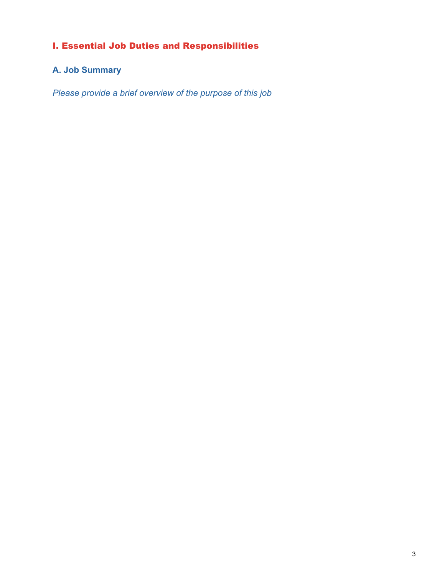# I. Essential Job Duties and Responsibilities

# **A. Job Summary**

*Please provide a brief overview of the purpose of this job*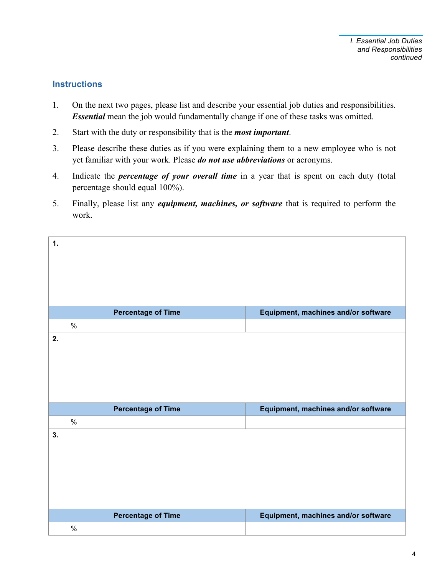#### **Instructions**

- 1. On the next two pages, please list and describe your essential job duties and responsibilities. *Essential* mean the job would fundamentally change if one of these tasks was omitted.
- 2. Start with the duty or responsibility that is the *most important*.
- 3. Please describe these duties as if you were explaining them to a new employee who is not yet familiar with your work. Please *do not use abbreviations* or acronyms.
- 4. Indicate the *percentage of your overall time* in a year that is spent on each duty (total percentage should equal 100%).
- 5. Finally, please list any *equipment, machines, or software* that is required to perform the work.

| 1. |      |                           |                                     |
|----|------|---------------------------|-------------------------------------|
|    |      |                           |                                     |
|    |      |                           |                                     |
|    |      |                           |                                     |
|    |      | <b>Percentage of Time</b> | Equipment, machines and/or software |
|    | $\%$ |                           |                                     |
| 2. |      |                           |                                     |
|    |      |                           |                                     |
|    |      |                           |                                     |
|    |      |                           |                                     |
|    |      |                           |                                     |
|    |      | <b>Percentage of Time</b> | Equipment, machines and/or software |
|    | $\%$ |                           |                                     |
| 3. |      |                           |                                     |
|    |      |                           |                                     |
|    |      |                           |                                     |
|    |      |                           |                                     |
|    |      |                           |                                     |
|    |      | <b>Percentage of Time</b> | Equipment, machines and/or software |
|    | $\%$ |                           |                                     |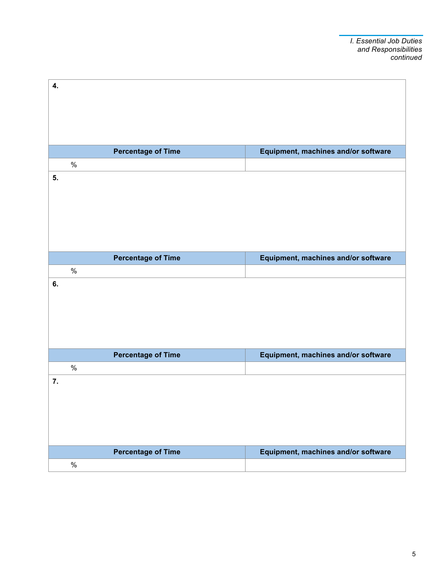| 4. |      |                           |                                     |
|----|------|---------------------------|-------------------------------------|
|    |      |                           |                                     |
|    |      |                           |                                     |
|    |      |                           |                                     |
|    |      |                           |                                     |
|    | $\%$ | <b>Percentage of Time</b> | Equipment, machines and/or software |
| 5. |      |                           |                                     |
|    |      |                           |                                     |
|    |      |                           |                                     |
|    |      |                           |                                     |
|    |      |                           |                                     |
|    |      |                           |                                     |
|    |      | <b>Percentage of Time</b> | Equipment, machines and/or software |
|    | $\%$ |                           |                                     |
| 6. |      |                           |                                     |
|    |      |                           |                                     |
|    |      |                           |                                     |
|    |      |                           |                                     |
|    |      |                           |                                     |
|    |      | <b>Percentage of Time</b> | Equipment, machines and/or software |
|    | $\%$ |                           |                                     |
| 7. |      |                           |                                     |
|    |      |                           |                                     |
|    |      |                           |                                     |
|    |      |                           |                                     |
|    |      |                           |                                     |
|    |      | <b>Percentage of Time</b> | Equipment, machines and/or software |
|    | $\%$ |                           |                                     |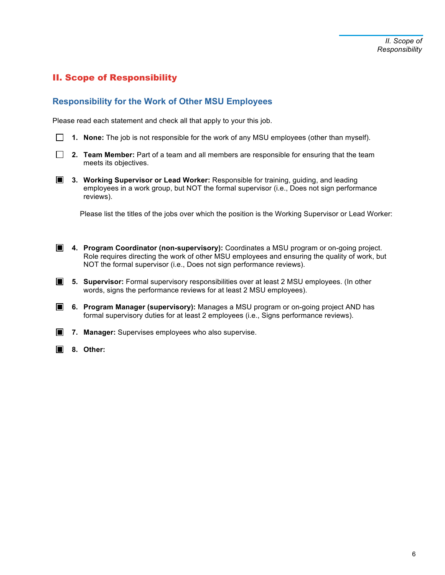# II. Scope of Responsibility

#### **Responsibility for the Work of Other MSU Employees**

Please read each statement and check all that apply to your this job.

**1. None:** The job is not responsible for the work of any MSU employees (other than myself).

**2. Team Member:** Part of a team and all members are responsible for ensuring that the team meets its objectives.

**3. Working Supervisor or Lead Worker:** Responsible for training, guiding, and leading employees in a work group, but NOT the formal supervisor (i.e., Does not sign performance reviews).

Please list the titles of the jobs over which the position is the Working Supervisor or Lead Worker:

- **4. Program Coordinator (non-supervisory):** Coordinates a MSU program or on-going project. Role requires directing the work of other MSU employees and ensuring the quality of work, but NOT the formal supervisor (i.e., Does not sign performance reviews).
- **5. Supervisor:** Formal supervisory responsibilities over at least 2 MSU employees. (In other words, signs the performance reviews for at least 2 MSU employees).
- **6. Program Manager (supervisory):** Manages a MSU program or on-going project AND has formal supervisory duties for at least 2 employees (i.e., Signs performance reviews).

**7. Manager:** Supervises employees who also supervise.

**8. Other:**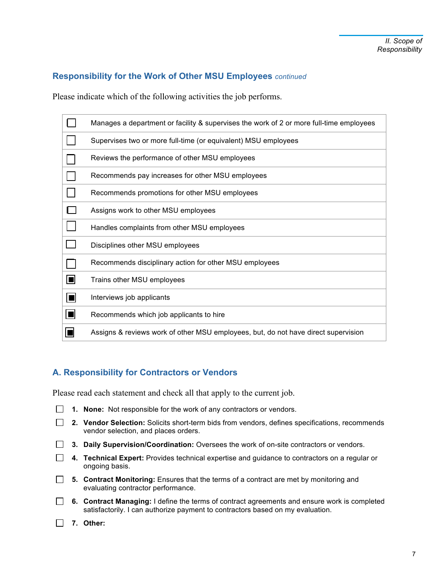#### **Responsibility for the Work of Other MSU Employees** *continued*

Please indicate which of the following activities the job performs.

|                            | Manages a department or facility & supervises the work of 2 or more full-time employees |
|----------------------------|-----------------------------------------------------------------------------------------|
|                            | Supervises two or more full-time (or equivalent) MSU employees                          |
|                            | Reviews the performance of other MSU employees                                          |
|                            | Recommends pay increases for other MSU employees                                        |
|                            | Recommends promotions for other MSU employees                                           |
|                            | Assigns work to other MSU employees                                                     |
|                            | Handles complaints from other MSU employees                                             |
|                            | Disciplines other MSU employees                                                         |
|                            | Recommends disciplinary action for other MSU employees                                  |
| о                          | Trains other MSU employees                                                              |
| $\Box$                     | Interviews job applicants                                                               |
| $\vert \blacksquare \vert$ | Recommends which job applicants to hire                                                 |
|                            | Assigns & reviews work of other MSU employees, but, do not have direct supervision      |

#### **A. Responsibility for Contractors or Vendors**

Please read each statement and check all that apply to the current job.

|  |  |  | $\Box$ 1. None: Not responsible for the work of any contractors or vendors. |  |  |  |  |
|--|--|--|-----------------------------------------------------------------------------|--|--|--|--|
|--|--|--|-----------------------------------------------------------------------------|--|--|--|--|

|  | <b>2. Vendor Selection:</b> Solicits short-term bids from vendors, defines specifications, recommends |
|--|-------------------------------------------------------------------------------------------------------|
|  | vendor selection, and places orders.                                                                  |

- **3. Daily Supervision/Coordination:** Oversees the work of on-site contractors or vendors.
- **4. Technical Expert:** Provides technical expertise and guidance to contractors on a regular or ongoing basis.
- **5. Contract Monitoring:** Ensures that the terms of a contract are met by monitoring and evaluating contractor performance.
- **6. Contract Managing:** I define the terms of contract agreements and ensure work is completed satisfactorily. I can authorize payment to contractors based on my evaluation.
- **7. Other:**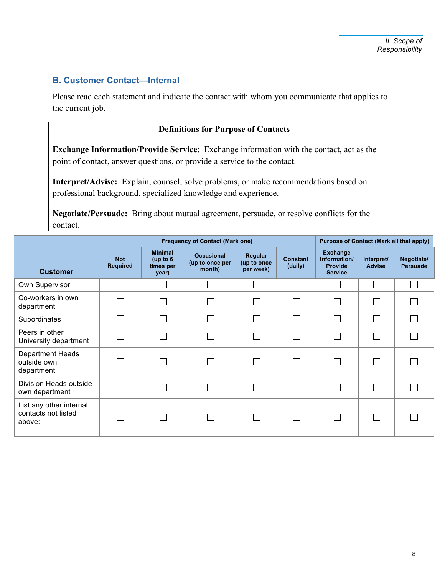#### **B. Customer Contact—Internal**

Please read each statement and indicate the contact with whom you communicate that applies to the current job.

#### **Definitions for Purpose of Contacts**

**Exchange Information/Provide Service**: Exchange information with the contact, act as the point of contact, answer questions, or provide a service to the contact.

**Interpret/Advise:** Explain, counsel, solve problems, or make recommendations based on professional background, specialized knowledge and experience.

**Negotiate/Persuade:** Bring about mutual agreement, persuade, or resolve conflicts for the contact.

|                                                          |                               | <b>Purpose of Contact (Mark all that apply)</b>    |                                                |                                     |                            |                                                                     |                             |                               |
|----------------------------------------------------------|-------------------------------|----------------------------------------------------|------------------------------------------------|-------------------------------------|----------------------------|---------------------------------------------------------------------|-----------------------------|-------------------------------|
| <b>Customer</b>                                          | <b>Not</b><br><b>Required</b> | <b>Minimal</b><br>(up to $6$<br>times per<br>year) | <b>Occasional</b><br>(up to once per<br>month) | Regular<br>(up to once<br>per week) | <b>Constant</b><br>(daily) | <b>Exchange</b><br>Information/<br><b>Provide</b><br><b>Service</b> | Interpret/<br><b>Advise</b> | Negotiate/<br><b>Persuade</b> |
| Own Supervisor                                           |                               |                                                    |                                                |                                     | $\mathbf{I}$               |                                                                     |                             |                               |
| Co-workers in own<br>department                          |                               |                                                    |                                                |                                     | <b>College</b>             |                                                                     |                             |                               |
| Subordinates                                             |                               |                                                    |                                                |                                     | $\Box$                     |                                                                     |                             |                               |
| Peers in other<br>University department                  |                               |                                                    |                                                |                                     | $\mathbf{I}$               |                                                                     |                             |                               |
| Department Heads<br>outside own<br>department            |                               |                                                    |                                                |                                     | $\Box$                     |                                                                     |                             |                               |
| Division Heads outside<br>own department                 |                               |                                                    |                                                |                                     | $\mathbf{I}$               |                                                                     |                             |                               |
| List any other internal<br>contacts not listed<br>above: |                               |                                                    |                                                |                                     | $\mathsf{L}$               |                                                                     |                             |                               |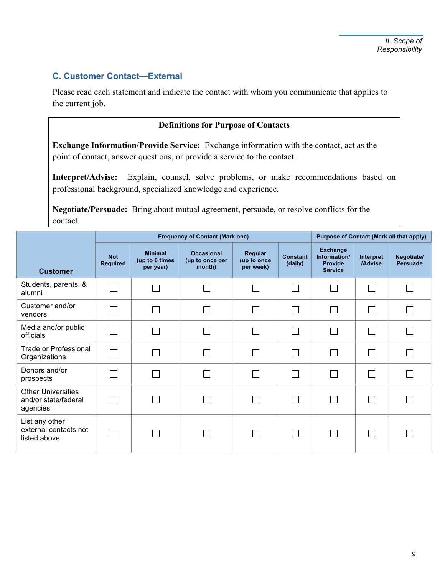#### **C. Customer Contact—External**

Please read each statement and indicate the contact with whom you communicate that applies to the current job.

#### **Definitions for Purpose of Contacts**

**Exchange Information/Provide Service:** Exchange information with the contact, act as the point of contact, answer questions, or provide a service to the contact.

**Interpret/Advise:** Explain, counsel, solve problems, or make recommendations based on professional background, specialized knowledge and experience.

**Negotiate/Persuade:** Bring about mutual agreement, persuade, or resolve conflicts for the contact.

|                                                               |                               | <b>Frequency of Contact (Mark one)</b>        | Purpose of Contact (Mark all that apply)       |                                     |                            |                                                                     |                      |                               |
|---------------------------------------------------------------|-------------------------------|-----------------------------------------------|------------------------------------------------|-------------------------------------|----------------------------|---------------------------------------------------------------------|----------------------|-------------------------------|
| <b>Customer</b>                                               | <b>Not</b><br><b>Required</b> | <b>Minimal</b><br>(up to 6 times<br>per year) | <b>Occasional</b><br>(up to once per<br>month) | Regular<br>(up to once<br>per week) | <b>Constant</b><br>(daily) | <b>Exchange</b><br>Information/<br><b>Provide</b><br><b>Service</b> | Interpret<br>/Advise | Negotiate/<br><b>Persuade</b> |
| Students, parents, &<br>alumni                                | $\Box$                        |                                               |                                                |                                     | <b>College</b>             |                                                                     | $\Box$               |                               |
| Customer and/or<br>vendors                                    |                               |                                               |                                                |                                     | $\sim$                     |                                                                     | $\Box$               |                               |
| Media and/or public<br>officials                              |                               |                                               |                                                |                                     | a s                        |                                                                     | П                    |                               |
| <b>Trade or Professional</b><br>Organizations                 | $\Box$                        |                                               |                                                |                                     |                            |                                                                     | П                    |                               |
| Donors and/or<br>prospects                                    |                               |                                               |                                                |                                     | $\sim$                     |                                                                     | $\Box$               |                               |
| <b>Other Universities</b><br>and/or state/federal<br>agencies |                               |                                               |                                                | <b>Contract</b>                     |                            | $\sim$                                                              | $\mathbb{R}^n$       |                               |
| List any other<br>external contacts not<br>listed above:      |                               |                                               |                                                |                                     |                            |                                                                     | $\mathbf{I}$         |                               |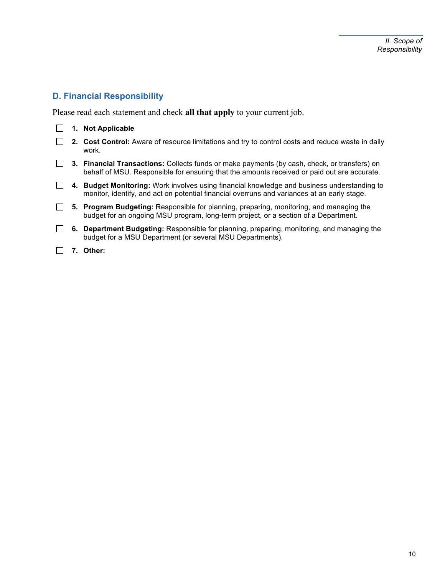# **D. Financial Responsibility**

Please read each statement and check **all that apply** to your current job.

|  | <b>Not Applicable</b>                                                                                                                                                                       |
|--|---------------------------------------------------------------------------------------------------------------------------------------------------------------------------------------------|
|  | 2. Cost Control: Aware of resource limitations and try to control costs and reduce waste in daily<br>work.                                                                                  |
|  | 3. Financial Transactions: Collects funds or make payments (by cash, check, or transfers) on<br>behalf of MSU. Responsible for ensuring that the amounts received or paid out are accurate. |
|  | 4. Budget Monitoring: Work involves using financial knowledge and business understanding to<br>monitor, identify, and act on potential financial overruns and variances at an early stage.  |
|  | 5. Program Budgeting: Responsible for planning, preparing, monitoring, and managing the<br>budget for an ongoing MSU program, long-term project, or a section of a Department.              |
|  | 6. Department Budgeting: Responsible for planning, preparing, monitoring, and managing the<br>budget for a MSU Department (or several MSU Departments).                                     |

**7. Other:**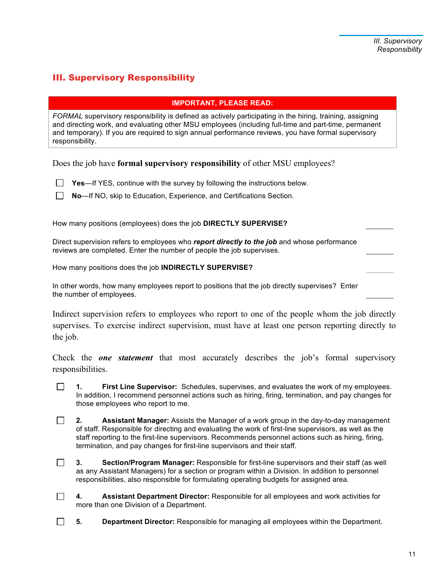# III. Supervisory Responsibility

#### **IMPORTANT, PLEASE READ:**

*FORMAL* supervisory responsibility is defined as actively participating in the hiring, training, assigning and directing work, and evaluating other MSU employees (including full-time and part-time, permanent and temporary). If you are required to sign annual performance reviews, you have formal supervisory responsibility.

Does the job have **formal supervisory responsibility** of other MSU employees?

- **Yes—If YES, continue with the survey by following the instructions below.**
- **No**—If NO, skip to Education, Experience, and Certifications Section.

How many positions (employees) does the job **DIRECTLY SUPERVISE?**

Direct supervision refers to employees who *report directly to the job* and whose performance reviews are completed. Enter the number of people the job supervises.

How many positions does the job **INDIRECTLY SUPERVISE?**

In other words, how many employees report to positions that the job directly supervises? Enter the number of employees.

Indirect supervision refers to employees who report to one of the people whom the job directly supervises. To exercise indirect supervision, must have at least one person reporting directly to the job.

Check the *one statement* that most accurately describes the job's formal supervisory responsibilities.

 $\Box$ **1. First Line Supervisor:** Schedules, supervises, and evaluates the work of my employees. In addition, I recommend personnel actions such as hiring, firing, termination, and pay changes for those employees who report to me.

 $\Box$ **2. Assistant Manager:** Assists the Manager of a work group in the day-to-day management of staff. Responsible for directing and evaluating the work of first-line supervisors, as well as the staff reporting to the first-line supervisors. Recommends personnel actions such as hiring, firing, termination, and pay changes for first-line supervisors and their staff.

- $\Box$ **3. Section/Program Manager:** Responsible for first-line supervisors and their staff (as well as any Assistant Managers) for a section or program within a Division. In addition to personnel responsibilities, also responsible for formulating operating budgets for assigned area.
- $\Box$ **4. Assistant Department Director:** Responsible for all employees and work activities for more than one Division of a Department.

 $\Box$ **5. Department Director:** Responsible for managing all employees within the Department.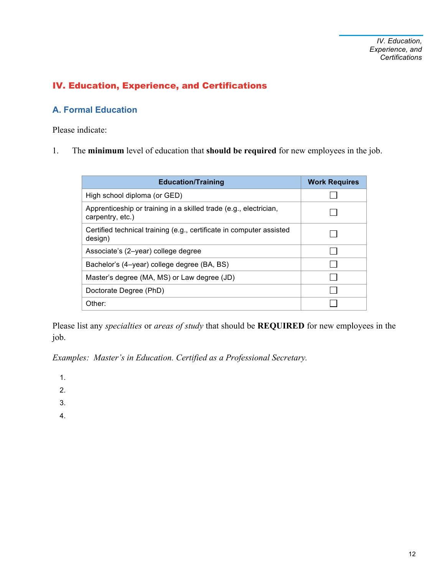# IV. Education, Experience, and Certifications

# **A. Formal Education**

Please indicate:

1. The **minimum** level of education that **should be required** for new employees in the job.

| <b>Education/Training</b>                                                             | <b>Work Requires</b> |
|---------------------------------------------------------------------------------------|----------------------|
| High school diploma (or GED)                                                          |                      |
| Apprenticeship or training in a skilled trade (e.g., electrician,<br>carpentry, etc.) |                      |
| Certified technical training (e.g., certificate in computer assisted<br>design)       |                      |
| Associate's (2-year) college degree                                                   |                      |
| Bachelor's (4-year) college degree (BA, BS)                                           |                      |
| Master's degree (MA, MS) or Law degree (JD)                                           |                      |
| Doctorate Degree (PhD)                                                                |                      |
| Other:                                                                                |                      |

Please list any *specialties* or *areas of study* that should be **REQUIRED** for new employees in the job.

*Examples: Master's in Education. Certified as a Professional Secretary.*

1.

- 2.
- 3.
- 4.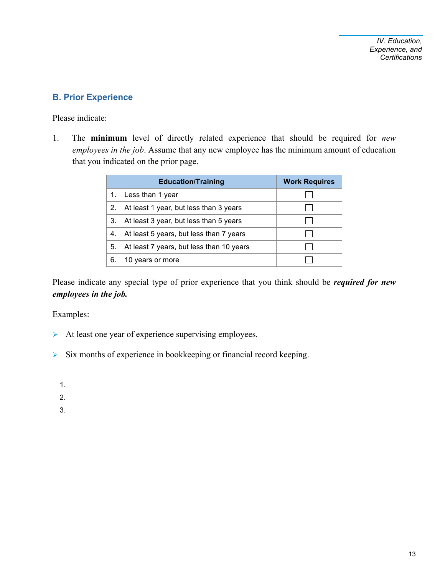# **B. Prior Experience**

Please indicate:

1. The **minimum** level of directly related experience that should be required for *new employees in the job*. Assume that any new employee has the minimum amount of education that you indicated on the prior page.

|    | <b>Education/Training</b>                 | <b>Work Requires</b> |
|----|-------------------------------------------|----------------------|
|    | 1. Less than 1 year                       |                      |
|    | 2. At least 1 year, but less than 3 years |                      |
| 3. | At least 3 year, but less than 5 years    |                      |
| 4. | At least 5 years, but less than 7 years   |                      |
| 5. | At least 7 years, but less than 10 years  |                      |
| 6  | 10 years or more                          |                      |

Please indicate any special type of prior experience that you think should be *required for new employees in the job.*

Examples:

- $\triangleright$  At least one year of experience supervising employees.
- $\triangleright$  Six months of experience in bookkeeping or financial record keeping.

1.

2.

3.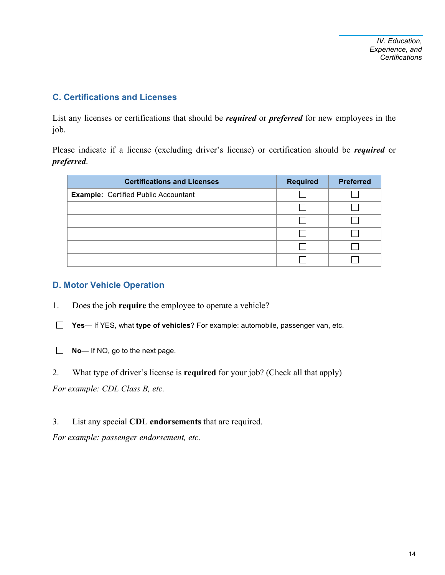#### **C. Certifications and Licenses**

List any licenses or certifications that should be *required* or *preferred* for new employees in the job.

Please indicate if a license (excluding driver's license) or certification should be *required* or *preferred*.

| <b>Certifications and Licenses</b>          | <b>Required</b> | <b>Preferred</b> |
|---------------------------------------------|-----------------|------------------|
| <b>Example: Certified Public Accountant</b> |                 |                  |
|                                             |                 |                  |
|                                             |                 |                  |
|                                             |                 |                  |
|                                             |                 |                  |
|                                             |                 |                  |

#### **D. Motor Vehicle Operation**

- 1. Does the job **require** the employee to operate a vehicle?
- **Yes** If YES, what **type of vehicles**? For example: automobile, passenger van, etc.
- **No** If NO, go to the next page.
- 2. What type of driver's license is **required** for your job? (Check all that apply)

*For example: CDL Class B, etc.* 

3. List any special **CDL endorsements** that are required.

*For example: passenger endorsement, etc.*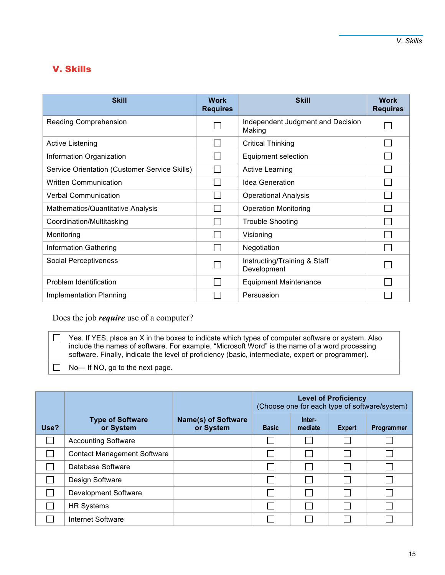# V. Skills

| <b>Skill</b>                                  | <b>Work</b><br><b>Requires</b> | <b>Skill</b>                                | <b>Work</b><br><b>Requires</b> |
|-----------------------------------------------|--------------------------------|---------------------------------------------|--------------------------------|
| Reading Comprehension                         |                                | Independent Judgment and Decision<br>Making |                                |
| <b>Active Listening</b>                       |                                | <b>Critical Thinking</b>                    |                                |
| Information Organization                      |                                | Equipment selection                         |                                |
| Service Orientation (Customer Service Skills) |                                | <b>Active Learning</b>                      |                                |
| <b>Written Communication</b>                  |                                | <b>Idea Generation</b>                      |                                |
| <b>Verbal Communication</b>                   |                                | <b>Operational Analysis</b>                 |                                |
| Mathematics/Quantitative Analysis             |                                | <b>Operation Monitoring</b>                 |                                |
| Coordination/Multitasking                     |                                | <b>Trouble Shooting</b>                     |                                |
| Monitoring                                    |                                | Visioning                                   |                                |
| <b>Information Gathering</b>                  |                                | Negotiation                                 |                                |
| Social Perceptiveness                         |                                | Instructing/Training & Staff<br>Development |                                |
| Problem Identification                        |                                | <b>Equipment Maintenance</b>                |                                |
| Implementation Planning                       |                                | Persuasion                                  |                                |

Does the job *require* use of a computer?

 $\Box$ Yes. If YES, place an X in the boxes to indicate which types of computer software or system. Also include the names of software. For example, "Microsoft Word" is the name of a word processing software. Finally, indicate the level of proficiency (basic, intermediate, expert or programmer).

No— If NO, go to the next page.

|      |                                      |                                         | <b>Level of Proficiency</b><br>(Choose one for each type of software/system) |                             |               |            |
|------|--------------------------------------|-----------------------------------------|------------------------------------------------------------------------------|-----------------------------|---------------|------------|
| Use? | <b>Type of Software</b><br>or System | <b>Name(s) of Software</b><br>or System | <b>Basic</b>                                                                 | Inter-<br>mediate           | <b>Expert</b> | Programmer |
|      | <b>Accounting Software</b>           |                                         |                                                                              |                             |               |            |
|      | <b>Contact Management Software</b>   |                                         |                                                                              | $\sim$                      |               |            |
|      | Database Software                    |                                         |                                                                              |                             |               |            |
|      | Design Software                      |                                         |                                                                              | $\Box$                      |               |            |
|      | Development Software                 |                                         |                                                                              | $\mathcal{C}^{\mathcal{A}}$ |               |            |
|      | <b>HR Systems</b>                    |                                         |                                                                              | $\mathcal{L}$               |               |            |
|      | Internet Software                    |                                         |                                                                              |                             |               |            |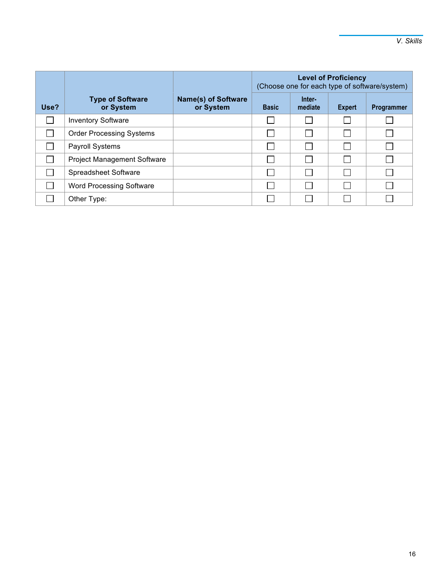|      |                                      |                                         | <b>Level of Proficiency</b><br>(Choose one for each type of software/system) |                   |        |            |
|------|--------------------------------------|-----------------------------------------|------------------------------------------------------------------------------|-------------------|--------|------------|
| Use? | <b>Type of Software</b><br>or System | <b>Name(s) of Software</b><br>or System | <b>Basic</b>                                                                 | Inter-<br>mediate | Expert | Programmer |
|      | <b>Inventory Software</b>            |                                         |                                                                              |                   |        |            |
|      | <b>Order Processing Systems</b>      |                                         |                                                                              |                   |        |            |
|      | <b>Payroll Systems</b>               |                                         |                                                                              |                   |        |            |
|      | <b>Project Management Software</b>   |                                         |                                                                              |                   |        |            |
|      | Spreadsheet Software                 |                                         |                                                                              |                   |        |            |
|      | <b>Word Processing Software</b>      |                                         |                                                                              |                   |        |            |
|      | Other Type:                          |                                         |                                                                              |                   |        |            |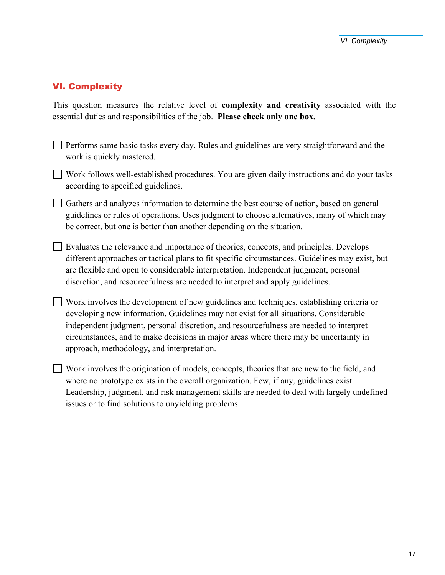# VI. Complexity

This question measures the relative level of **complexity and creativity** associated with the essential duties and responsibilities of the job. **Please check only one box.**

- $\Box$  Performs same basic tasks every day. Rules and guidelines are very straightforward and the work is quickly mastered.
- $\Box$  Work follows well-established procedures. You are given daily instructions and do your tasks according to specified guidelines.
- Gathers and analyzes information to determine the best course of action, based on general guidelines or rules of operations. Uses judgment to choose alternatives, many of which may be correct, but one is better than another depending on the situation.
- $\Box$  Evaluates the relevance and importance of theories, concepts, and principles. Develops different approaches or tactical plans to fit specific circumstances. Guidelines may exist, but are flexible and open to considerable interpretation. Independent judgment, personal discretion, and resourcefulness are needed to interpret and apply guidelines.
- Work involves the development of new guidelines and techniques, establishing criteria or developing new information. Guidelines may not exist for all situations. Considerable independent judgment, personal discretion, and resourcefulness are needed to interpret circumstances, and to make decisions in major areas where there may be uncertainty in approach, methodology, and interpretation.
- Work involves the origination of models, concepts, theories that are new to the field, and where no prototype exists in the overall organization. Few, if any, guidelines exist. Leadership, judgment, and risk management skills are needed to deal with largely undefined issues or to find solutions to unyielding problems.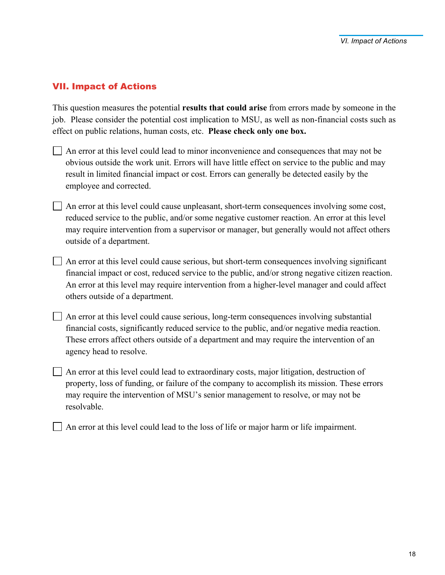#### VII. Impact of Actions

This question measures the potential **results that could arise** from errors made by someone in the job. Please consider the potential cost implication to MSU, as well as non-financial costs such as effect on public relations, human costs, etc. **Please check only one box.**

- An error at this level could lead to minor inconvenience and consequences that may not be obvious outside the work unit. Errors will have little effect on service to the public and may result in limited financial impact or cost. Errors can generally be detected easily by the employee and corrected.
- $\Box$  An error at this level could cause unpleasant, short-term consequences involving some cost, reduced service to the public, and/or some negative customer reaction. An error at this level may require intervention from a supervisor or manager, but generally would not affect others outside of a department.
- $\Box$  An error at this level could cause serious, but short-term consequences involving significant financial impact or cost, reduced service to the public, and/or strong negative citizen reaction. An error at this level may require intervention from a higher-level manager and could affect others outside of a department.
- An error at this level could cause serious, long-term consequences involving substantial financial costs, significantly reduced service to the public, and/or negative media reaction. These errors affect others outside of a department and may require the intervention of an agency head to resolve.
- $\Box$  An error at this level could lead to extraordinary costs, major litigation, destruction of property, loss of funding, or failure of the company to accomplish its mission. These errors may require the intervention of MSU's senior management to resolve, or may not be resolvable.
- $\Box$  An error at this level could lead to the loss of life or major harm or life impairment.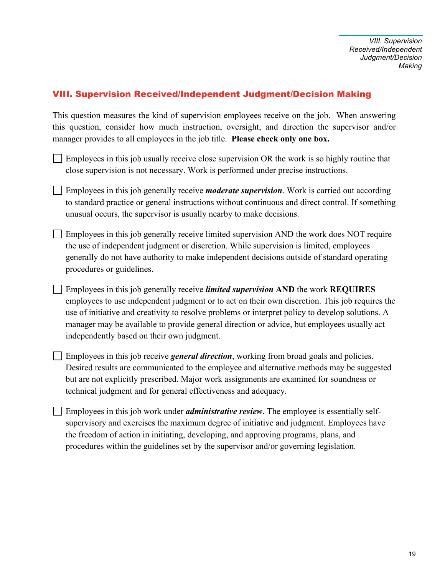### VIII. Supervision Received/Independent Judgment/Decision Making

This question measures the kind of supervision employees receive on the job. When answering this question, consider how much instruction, oversight, and direction the supervisor and/or manager provides to all employees in the job title. **Please check only one box.**

- $\Box$  Employees in this job usually receive close supervision OR the work is so highly routine that close supervision is not necessary. Work is performed under precise instructions.
- Employees in this job generally receive *moderate supervision*. Work is carried out according to standard practice or general instructions without continuous and direct control. If something unusual occurs, the supervisor is usually nearby to make decisions.
- $\Box$  Employees in this job generally receive limited supervision AND the work does NOT require the use of independent judgment or discretion. While supervision is limited, employees generally do not have authority to make independent decisions outside of standard operating procedures or guidelines.
- Employees in this job generally receive *limited supervision* **AND** the work **REQUIRES** employees to use independent judgment or to act on their own discretion. This job requires the use of initiative and creativity to resolve problems or interpret policy to develop solutions. A manager may be available to provide general direction or advice, but employees usually act independently based on their own judgment.
- Employees in this job receive *general direction*, working from broad goals and policies. Desired results are communicated to the employee and alternative methods may be suggested but are not explicitly prescribed. Major work assignments are examined for soundness or technical judgment and for general effectiveness and adequacy.
- Employees in this job work under *administrative review*. The employee is essentially selfsupervisory and exercises the maximum degree of initiative and judgment. Employees have the freedom of action in initiating, developing, and approving programs, plans, and procedures within the guidelines set by the supervisor and/or governing legislation.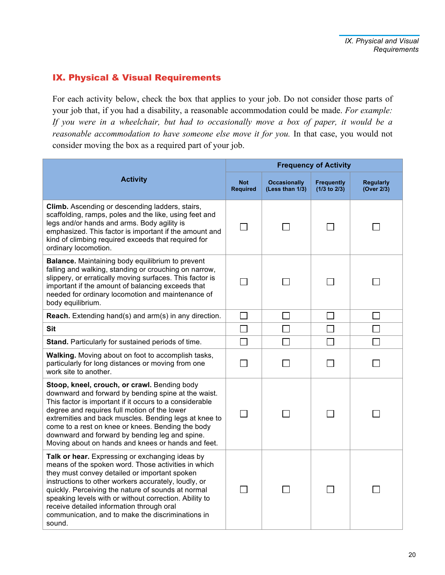# IX. Physical & Visual Requirements

For each activity below, check the box that applies to your job. Do not consider those parts of your job that, if you had a disability, a reasonable accommodation could be made. *For example: If you were in a wheelchair, but had to occasionally move a box of paper, it would be a reasonable accommodation to have someone else move it for you. In that case, you would not* consider moving the box as a required part of your job.

|                                                                                                                                                                                                                                                                                                                                                                                                                                             | <b>Frequency of Activity</b>  |                                        |                                       |                                |  |
|---------------------------------------------------------------------------------------------------------------------------------------------------------------------------------------------------------------------------------------------------------------------------------------------------------------------------------------------------------------------------------------------------------------------------------------------|-------------------------------|----------------------------------------|---------------------------------------|--------------------------------|--|
| <b>Activity</b>                                                                                                                                                                                                                                                                                                                                                                                                                             | <b>Not</b><br><b>Required</b> | <b>Occasionally</b><br>(Less than 1/3) | <b>Frequently</b><br>$(1/3$ to $2/3)$ | <b>Regularly</b><br>(Over 2/3) |  |
| Climb. Ascending or descending ladders, stairs,<br>scaffolding, ramps, poles and the like, using feet and<br>legs and/or hands and arms. Body agility is<br>emphasized. This factor is important if the amount and<br>kind of climbing required exceeds that required for<br>ordinary locomotion.                                                                                                                                           | П                             |                                        |                                       |                                |  |
| <b>Balance.</b> Maintaining body equilibrium to prevent<br>falling and walking, standing or crouching on narrow,<br>slippery, or erratically moving surfaces. This factor is<br>important if the amount of balancing exceeds that<br>needed for ordinary locomotion and maintenance of<br>body equilibrium.                                                                                                                                 |                               |                                        |                                       |                                |  |
| Reach. Extending hand(s) and arm(s) in any direction.                                                                                                                                                                                                                                                                                                                                                                                       | $\Box$                        | $\Box$                                 | $\Box$                                | $\mathbb{R}^n$                 |  |
| <b>Sit</b>                                                                                                                                                                                                                                                                                                                                                                                                                                  | $\Box$                        | $\mathcal{L}_{\mathcal{A}}$            | $\Box$                                |                                |  |
| Stand. Particularly for sustained periods of time.                                                                                                                                                                                                                                                                                                                                                                                          |                               |                                        |                                       |                                |  |
| Walking. Moving about on foot to accomplish tasks,<br>particularly for long distances or moving from one<br>work site to another.                                                                                                                                                                                                                                                                                                           |                               |                                        |                                       |                                |  |
| Stoop, kneel, crouch, or crawl. Bending body<br>downward and forward by bending spine at the waist.<br>This factor is important if it occurs to a considerable<br>degree and requires full motion of the lower<br>extremities and back muscles. Bending legs at knee to<br>come to a rest on knee or knees. Bending the body<br>downward and forward by bending leg and spine.<br>Moving about on hands and knees or hands and feet.        | $\Box$                        | $\sim$                                 | $\mathsf{L}$                          |                                |  |
| Talk or hear. Expressing or exchanging ideas by<br>means of the spoken word. Those activities in which<br>they must convey detailed or important spoken<br>instructions to other workers accurately, loudly, or<br>quickly. Perceiving the nature of sounds at normal<br>speaking levels with or without correction. Ability to<br>receive detailed information through oral<br>communication, and to make the discriminations in<br>sound. |                               |                                        |                                       |                                |  |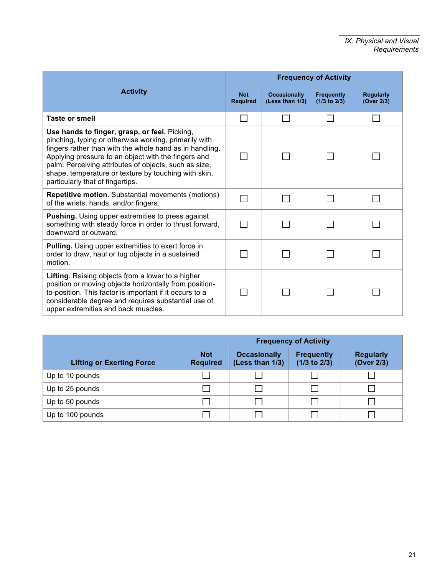|                                                                                                                                                                                                                                                                                                                                                                               |                               | <b>Frequency of Activity</b>           |                                       |                                |  |  |
|-------------------------------------------------------------------------------------------------------------------------------------------------------------------------------------------------------------------------------------------------------------------------------------------------------------------------------------------------------------------------------|-------------------------------|----------------------------------------|---------------------------------------|--------------------------------|--|--|
| <b>Activity</b>                                                                                                                                                                                                                                                                                                                                                               | <b>Not</b><br><b>Required</b> | <b>Occasionally</b><br>(Less than 1/3) | <b>Frequently</b><br>$(1/3$ to $2/3)$ | <b>Regularly</b><br>(Over 2/3) |  |  |
| <b>Taste or smell</b>                                                                                                                                                                                                                                                                                                                                                         |                               |                                        |                                       |                                |  |  |
| Use hands to finger, grasp, or feel. Picking,<br>pinching, typing or otherwise working, primarily with<br>fingers rather than with the whole hand as in handling.<br>Applying pressure to an object with the fingers and<br>palm. Perceiving attributes of objects, such as size,<br>shape, temperature or texture by touching with skin,<br>particularly that of fingertips. |                               |                                        |                                       |                                |  |  |
| <b>Repetitive motion.</b> Substantial movements (motions)<br>of the wrists, hands, and/or fingers.                                                                                                                                                                                                                                                                            |                               |                                        |                                       |                                |  |  |
| <b>Pushing.</b> Using upper extremities to press against<br>something with steady force in order to thrust forward,<br>downward or outward.                                                                                                                                                                                                                                   |                               |                                        |                                       |                                |  |  |
| <b>Pulling.</b> Using upper extremities to exert force in<br>order to draw, haul or tug objects in a sustained<br>motion.                                                                                                                                                                                                                                                     |                               |                                        |                                       |                                |  |  |
| Lifting. Raising objects from a lower to a higher<br>position or moving objects horizontally from position-<br>to-position. This factor is important if it occurs to a<br>considerable degree and requires substantial use of<br>upper extremities and back muscles.                                                                                                          |                               |                                        |                                       |                                |  |  |

|                                  | <b>Frequency of Activity</b>  |                                        |                                       |                                |  |
|----------------------------------|-------------------------------|----------------------------------------|---------------------------------------|--------------------------------|--|
| <b>Lifting or Exerting Force</b> | <b>Not</b><br><b>Required</b> | <b>Occasionally</b><br>(Less than 1/3) | <b>Frequently</b><br>$(1/3$ to $2/3)$ | <b>Regularly</b><br>(Over 2/3) |  |
| Up to 10 pounds                  |                               |                                        |                                       |                                |  |
| Up to 25 pounds                  |                               |                                        |                                       |                                |  |
| Up to 50 pounds                  |                               |                                        |                                       |                                |  |
| Up to 100 pounds                 |                               |                                        |                                       |                                |  |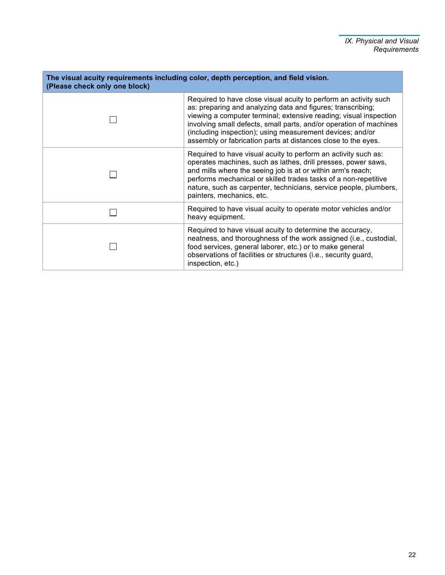| The visual acuity requirements including color, depth perception, and field vision.<br>(Please check only one block) |                                                                                                                                                                                                                                                                                                                                                                                                          |  |  |  |  |
|----------------------------------------------------------------------------------------------------------------------|----------------------------------------------------------------------------------------------------------------------------------------------------------------------------------------------------------------------------------------------------------------------------------------------------------------------------------------------------------------------------------------------------------|--|--|--|--|
|                                                                                                                      | Required to have close visual acuity to perform an activity such<br>as: preparing and analyzing data and figures; transcribing;<br>viewing a computer terminal; extensive reading; visual inspection<br>involving small defects, small parts, and/or operation of machines<br>(including inspection); using measurement devices; and/or<br>assembly or fabrication parts at distances close to the eyes. |  |  |  |  |
|                                                                                                                      | Required to have visual acuity to perform an activity such as:<br>operates machines, such as lathes, drill presses, power saws,<br>and mills where the seeing job is at or within arm's reach;<br>performs mechanical or skilled trades tasks of a non-repetitive<br>nature, such as carpenter, technicians, service people, plumbers,<br>painters, mechanics, etc.                                      |  |  |  |  |
|                                                                                                                      | Required to have visual acuity to operate motor vehicles and/or<br>heavy equipment.                                                                                                                                                                                                                                                                                                                      |  |  |  |  |
|                                                                                                                      | Required to have visual acuity to determine the accuracy,<br>neatness, and thoroughness of the work assigned (i.e., custodial,<br>food services, general laborer, etc.) or to make general<br>observations of facilities or structures (i.e., security guard,<br>inspection, etc.)                                                                                                                       |  |  |  |  |